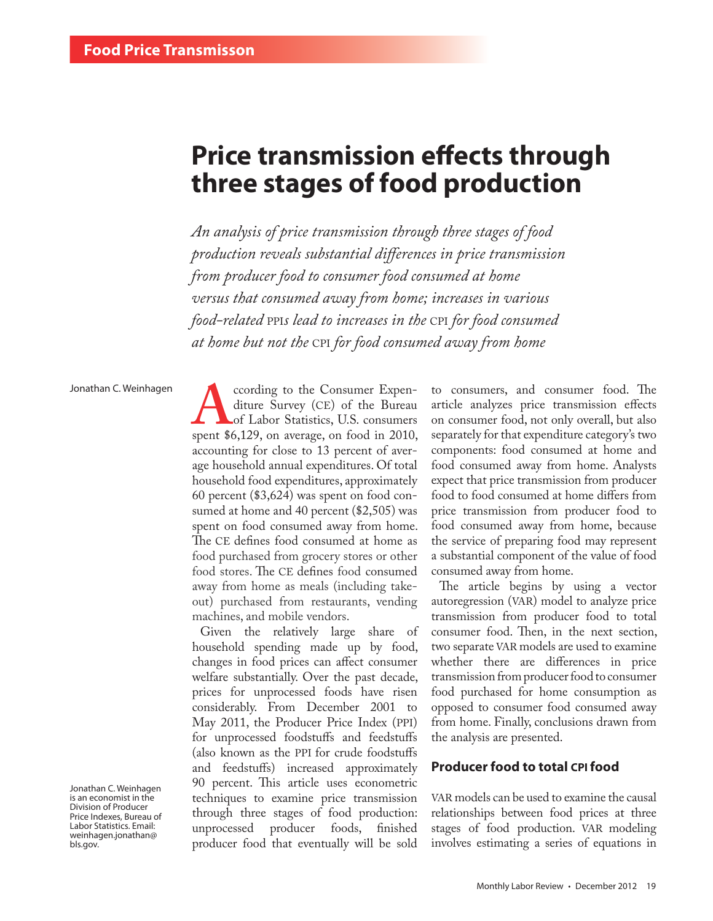# **Price transmission effects through three stages of food production**

*An analysis of price transmission through three stages of food production reveals substantial differences in price transmission from producer food to consumer food consumed at home versus that consumed away from home; increases in various food-related* PPI*s lead to increases in the* CPI *for food consumed at home but not the* CPI *for food consumed away from home*

#### Jonathan C. Weinhagen

Jonathan C. Weinhagen is an economist in the Division of Producer Price Indexes, Bureau of Labor Statistics. Email: [weinhagen.jonathan@](mailto:weinhagen.jonathan%40bls.gov?subject=) [bls.gov.](mailto:weinhagen.jonathan%40bls.gov?subject=)

**ACCORDING TO ACCORDING THE SURVEY (CE)** of the Bureau of Labor Statistics, U.S. consumers spent \$6,129, on average, on food in 2010, diture Survey (CE) of the Bureau of Labor Statistics, U.S. consumers accounting for close to 13 percent of average household annual expenditures. Of total household food expenditures, approximately 60 percent (\$3,624) was spent on food consumed at home and 40 percent (\$2,505) was spent on food consumed away from home. The CE defines food consumed at home as food purchased from grocery stores or other food stores. The CE defines food consumed away from home as meals (including takeout) purchased from restaurants, vending machines, and mobile vendors.

Given the relatively large share of household spending made up by food, changes in food prices can affect consumer welfare substantially. Over the past decade, prices for unprocessed foods have risen considerably. From December 2001 to May 2011, the Producer Price Index (PPI) for unprocessed foodstuffs and feedstuffs (also known as the PPI for crude foodstuffs and feedstuffs) increased approximately 90 percent. This article uses econometric techniques to examine price transmission through three stages of food production: unprocessed producer foods, finished producer food that eventually will be sold

to consumers, and consumer food. The article analyzes price transmission effects on consumer food, not only overall, but also separately for that expenditure category's two components: food consumed at home and food consumed away from home. Analysts expect that price transmission from producer food to food consumed at home differs from price transmission from producer food to food consumed away from home, because the service of preparing food may represent a substantial component of the value of food consumed away from home.

The article begins by using a vector autoregression (VAR) model to analyze price transmission from producer food to total consumer food. Then, in the next section, two separate VAR models are used to examine whether there are differences in price transmission from producer food to consumer food purchased for home consumption as opposed to consumer food consumed away from home. Finally, conclusions drawn from the analysis are presented.

### **Producer food to total CPIfood**

VAR models can be used to examine the causal relationships between food prices at three stages of food production. VAR modeling involves estimating a series of equations in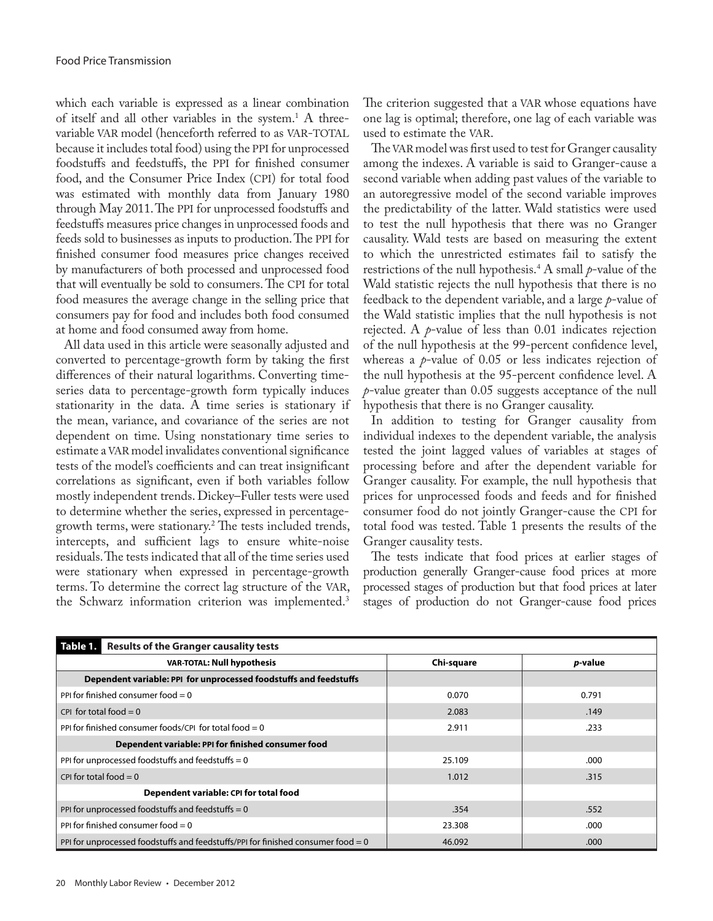which each variable is expressed as a linear combination of itself and all other variables in the system.1 A threevariable VAR model (henceforth referred to as VAR-TOTAL because it includes total food) using the PPI for unprocessed foodstuffs and feedstuffs, the PPI for finished consumer food, and the Consumer Price Index (CPI) for total food was estimated with monthly data from January 1980 through May 2011. The PPI for unprocessed foodstuffs and feedstuffs measures price changes in unprocessed foods and feeds sold to businesses as inputs to production. The PPI for finished consumer food measures price changes received by manufacturers of both processed and unprocessed food that will eventually be sold to consumers. The CPI for total food measures the average change in the selling price that consumers pay for food and includes both food consumed at home and food consumed away from home.

All data used in this article were seasonally adjusted and converted to percentage-growth form by taking the first differences of their natural logarithms. Converting timeseries data to percentage-growth form typically induces stationarity in the data. A time series is stationary if the mean, variance, and covariance of the series are not dependent on time. Using nonstationary time series to estimate a VAR model invalidates conventional significance tests of the model's coefficients and can treat insignificant correlations as significant, even if both variables follow mostly independent trends. Dickey–Fuller tests were used to determine whether the series, expressed in percentagegrowth terms, were stationary.2 The tests included trends, intercepts, and sufficient lags to ensure white-noise residuals. The tests indicated that all of the time series used were stationary when expressed in percentage-growth terms. To determine the correct lag structure of the VAR, the Schwarz information criterion was implemented.<sup>3</sup>

The criterion suggested that a VAR whose equations have one lag is optimal; therefore, one lag of each variable was used to estimate the VAR.

The VAR model was first used to test for Granger causality among the indexes. A variable is said to Granger-cause a second variable when adding past values of the variable to an autoregressive model of the second variable improves the predictability of the latter. Wald statistics were used to test the null hypothesis that there was no Granger causality. Wald tests are based on measuring the extent to which the unrestricted estimates fail to satisfy the restrictions of the null hypothesis.4 A small *p*-value of the Wald statistic rejects the null hypothesis that there is no feedback to the dependent variable, and a large *p*-value of the Wald statistic implies that the null hypothesis is not rejected. A *p*-value of less than 0.01 indicates rejection of the null hypothesis at the 99-percent confidence level, whereas a *p*-value of 0.05 or less indicates rejection of the null hypothesis at the 95-percent confidence level. A *p*-value greater than 0.05 suggests acceptance of the null hypothesis that there is no Granger causality.

In addition to testing for Granger causality from individual indexes to the dependent variable, the analysis tested the joint lagged values of variables at stages of processing before and after the dependent variable for Granger causality. For example, the null hypothesis that prices for unprocessed foods and feeds and for finished consumer food do not jointly Granger-cause the CPI for total food was tested. Table 1 presents the results of the Granger causality tests.

The tests indicate that food prices at earlier stages of production generally Granger-cause food prices at more processed stages of production but that food prices at later stages of production do not Granger-cause food prices

| <b>Results of the Granger causality tests</b><br>Table 1.                          |            |                 |  |  |
|------------------------------------------------------------------------------------|------------|-----------------|--|--|
| <b>VAR-TOTAL: Null hypothesis</b>                                                  | Chi-square | <i>p</i> -value |  |  |
| Dependent variable: PPI for unprocessed foodstuffs and feedstuffs                  |            |                 |  |  |
| PPI for finished consumer food $= 0$                                               | 0.070      | 0.791           |  |  |
| CPI for total food $= 0$                                                           | 2.083      | .149            |  |  |
| PPI for finished consumer foods/CPI for total food $= 0$                           | 2.911      | .233            |  |  |
| Dependent variable: PPI for finished consumer food                                 |            |                 |  |  |
| PPI for unprocessed foodstuffs and feedstuffs $= 0$                                | 25.109     | .000            |  |  |
| CPI for total food $= 0$                                                           | 1.012      | .315            |  |  |
| Dependent variable: CPI for total food                                             |            |                 |  |  |
| PPI for unprocessed foodstuffs and feedstuffs $= 0$                                | .354       | .552            |  |  |
| PPI for finished consumer food $= 0$                                               | 23.308     | .000            |  |  |
| PPI for unprocessed foodstuffs and feedstuffs/PPI for finished consumer food $= 0$ | 46.092     | .000            |  |  |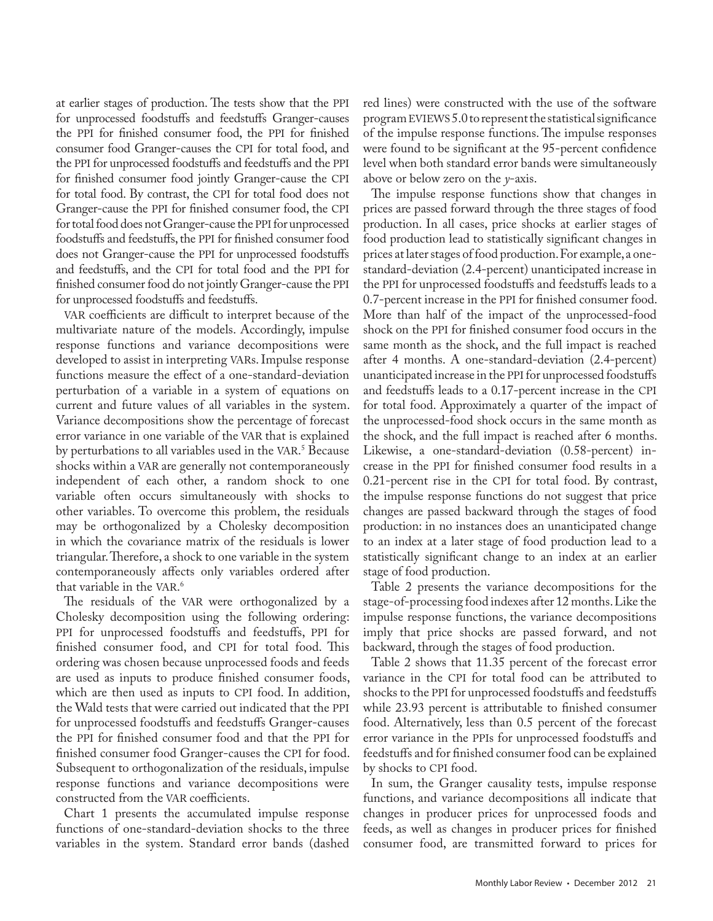at earlier stages of production. The tests show that the PPI for unprocessed foodstuffs and feedstuffs Granger-causes the PPI for finished consumer food, the PPI for finished consumer food Granger-causes the CPI for total food, and the PPI for unprocessed foodstuffs and feedstuffs and the PPI for finished consumer food jointly Granger-cause the CPI for total food. By contrast, the CPI for total food does not Granger-cause the PPI for finished consumer food, the CPI for total food does not Granger-cause the PPI for unprocessed foodstuffs and feedstuffs, the PPI for finished consumer food does not Granger-cause the PPI for unprocessed foodstuffs and feedstuffs, and the CPI for total food and the PPI for finished consumer food do not jointly Granger-cause the PPI for unprocessed foodstuffs and feedstuffs.

VAR coefficients are difficult to interpret because of the multivariate nature of the models. Accordingly, impulse response functions and variance decompositions were developed to assist in interpreting VARs. Impulse response functions measure the effect of a one-standard-deviation perturbation of a variable in a system of equations on current and future values of all variables in the system. Variance decompositions show the percentage of forecast error variance in one variable of the VAR that is explained by perturbations to all variables used in the VAR. 5 Because shocks within a VAR are generally not contemporaneously independent of each other, a random shock to one variable often occurs simultaneously with shocks to other variables. To overcome this problem, the residuals may be orthogonalized by a Cholesky decomposition in which the covariance matrix of the residuals is lower triangular. Therefore, a shock to one variable in the system contemporaneously affects only variables ordered after that variable in the VAR. 6

The residuals of the VAR were orthogonalized by a Cholesky decomposition using the following ordering: PPI for unprocessed foodstuffs and feedstuffs, PPI for finished consumer food, and CPI for total food. This ordering was chosen because unprocessed foods and feeds are used as inputs to produce finished consumer foods, which are then used as inputs to CPI food. In addition, the Wald tests that were carried out indicated that the PPI for unprocessed foodstuffs and feedstuffs Granger-causes the PPI for finished consumer food and that the PPI for finished consumer food Granger-causes the CPI for food. Subsequent to orthogonalization of the residuals, impulse response functions and variance decompositions were constructed from the VAR coefficients.

Chart 1 presents the accumulated impulse response functions of one-standard-deviation shocks to the three variables in the system. Standard error bands (dashed red lines) were constructed with the use of the software program EVIEWS 5.0 to represent the statistical significance of the impulse response functions. The impulse responses were found to be significant at the 95-percent confidence level when both standard error bands were simultaneously above or below zero on the *y*-axis.

The impulse response functions show that changes in prices are passed forward through the three stages of food production. In all cases, price shocks at earlier stages of food production lead to statistically significant changes in prices at later stages of food production. For example, a onestandard-deviation (2.4-percent) unanticipated increase in the PPI for unprocessed foodstuffs and feedstuffs leads to a 0.7-percent increase in the PPI for finished consumer food. More than half of the impact of the unprocessed-food shock on the PPI for finished consumer food occurs in the same month as the shock, and the full impact is reached after 4 months. A one-standard-deviation (2.4-percent) unanticipated increase in the PPI for unprocessed foodstuffs and feedstuffs leads to a 0.17-percent increase in the CPI for total food. Approximately a quarter of the impact of the unprocessed-food shock occurs in the same month as the shock, and the full impact is reached after 6 months. Likewise, a one-standard-deviation (0.58-percent) increase in the PPI for finished consumer food results in a 0.21-percent rise in the CPI for total food. By contrast, the impulse response functions do not suggest that price changes are passed backward through the stages of food production: in no instances does an unanticipated change to an index at a later stage of food production lead to a statistically significant change to an index at an earlier stage of food production.

Table 2 presents the variance decompositions for the stage-of-processing food indexes after 12 months. Like the impulse response functions, the variance decompositions imply that price shocks are passed forward, and not backward, through the stages of food production.

Table 2 shows that 11.35 percent of the forecast error variance in the CPI for total food can be attributed to shocks to the PPI for unprocessed foodstuffs and feedstuffs while 23.93 percent is attributable to finished consumer food. Alternatively, less than 0.5 percent of the forecast error variance in the PPIs for unprocessed foodstuffs and feedstuffs and for finished consumer food can be explained by shocks to CPI food.

In sum, the Granger causality tests, impulse response functions, and variance decompositions all indicate that changes in producer prices for unprocessed foods and feeds, as well as changes in producer prices for finished consumer food, are transmitted forward to prices for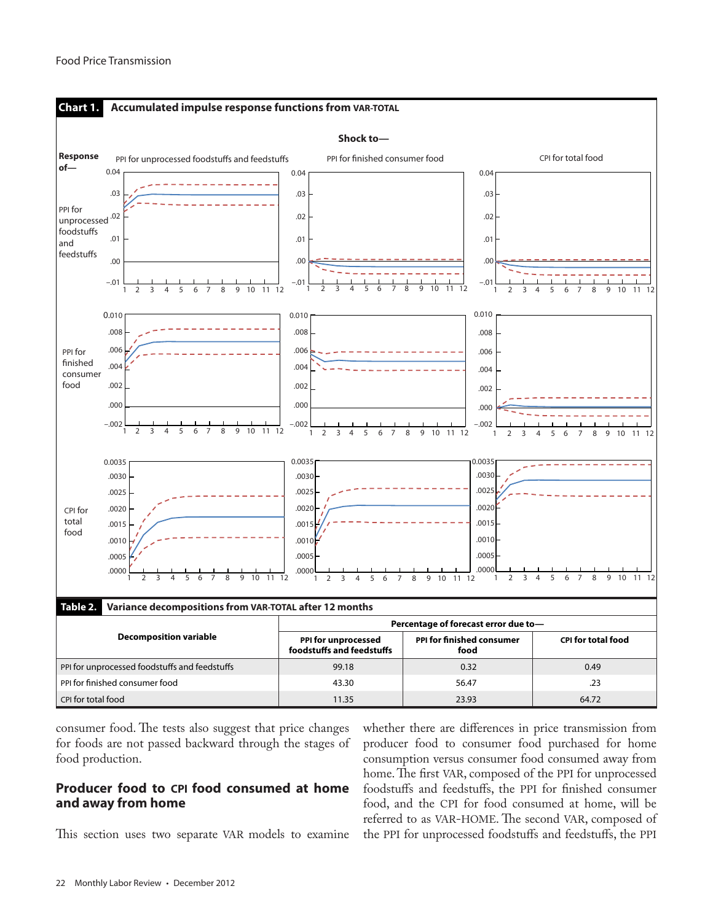

consumer food. The tests also suggest that price changes for foods are not passed backward through the stages of food production.

## **Producer food to CPI food consumed at home and away from home**

This section uses two separate VAR models to examine

whether there are differences in price transmission from producer food to consumer food purchased for home consumption versus consumer food consumed away from home. The first VAR, composed of the PPI for unprocessed foodstuffs and feedstuffs, the PPI for finished consumer food, and the CPI for food consumed at home, will be referred to as VAR-HOME. The second VAR, composed of the PPI for unprocessed foodstuffs and feedstuffs, the PPI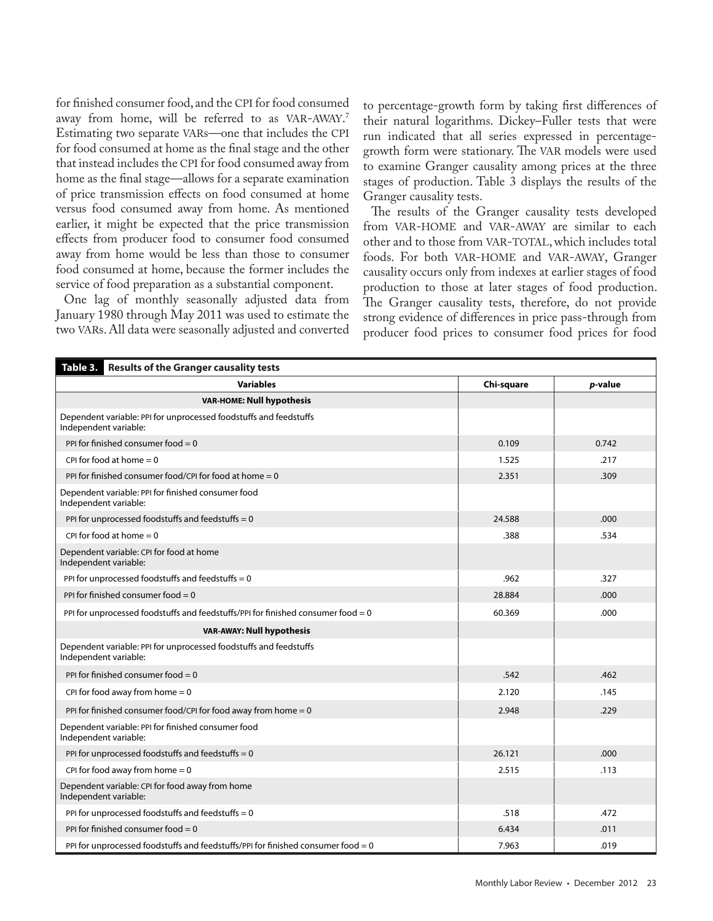for finished consumer food, and the CPI for food consumed away from home, will be referred to as VAR-AWAY. 7 Estimating two separate VARs—one that includes the CPI for food consumed at home as the final stage and the other that instead includes the CPI for food consumed away from home as the final stage—allows for a separate examination of price transmission effects on food consumed at home versus food consumed away from home. As mentioned earlier, it might be expected that the price transmission effects from producer food to consumer food consumed away from home would be less than those to consumer food consumed at home, because the former includes the service of food preparation as a substantial component.

One lag of monthly seasonally adjusted data from January 1980 through May 2011 was used to estimate the two VARs. All data were seasonally adjusted and converted to percentage-growth form by taking first differences of their natural logarithms. Dickey–Fuller tests that were run indicated that all series expressed in percentagegrowth form were stationary. The VAR models were used to examine Granger causality among prices at the three stages of production. Table 3 displays the results of the Granger causality tests.

The results of the Granger causality tests developed from VAR-HOME and VAR-AWAY are similar to each other and to those from VAR-TOTAL, which includes total foods. For both VAR-HOME and VAR-AWAY, Granger causality occurs only from indexes at earlier stages of food production to those at later stages of food production. The Granger causality tests, therefore, do not provide strong evidence of differences in price pass-through from producer food prices to consumer food prices for food

| Table 3.<br><b>Results of the Granger causality tests</b>                                  |            |         |  |  |
|--------------------------------------------------------------------------------------------|------------|---------|--|--|
| <b>Variables</b>                                                                           | Chi-square | p-value |  |  |
| <b>VAR-HOME: Null hypothesis</b>                                                           |            |         |  |  |
| Dependent variable: PPI for unprocessed foodstuffs and feedstuffs<br>Independent variable: |            |         |  |  |
| PPI for finished consumer food $= 0$                                                       | 0.109      | 0.742   |  |  |
| CPI for food at home $= 0$                                                                 | 1.525      | .217    |  |  |
| PPI for finished consumer food/CPI for food at home $= 0$                                  | 2.351      | .309    |  |  |
| Dependent variable: PPI for finished consumer food<br>Independent variable:                |            |         |  |  |
| PPI for unprocessed foodstuffs and feedstuffs $= 0$                                        | 24.588     | .000    |  |  |
| CPI for food at home $= 0$                                                                 | .388       | .534    |  |  |
| Dependent variable: CPI for food at home<br>Independent variable:                          |            |         |  |  |
| PPI for unprocessed foodstuffs and feedstuffs = 0                                          | .962       | .327    |  |  |
| PPI for finished consumer food $= 0$                                                       | 28.884     | .000    |  |  |
| PPI for unprocessed foodstuffs and feedstuffs/PPI for finished consumer food $= 0$         | 60.369     | .000    |  |  |
| VAR-AWAY: Null hypothesis                                                                  |            |         |  |  |
| Dependent variable: PPI for unprocessed foodstuffs and feedstuffs<br>Independent variable: |            |         |  |  |
| PPI for finished consumer food $= 0$                                                       | .542       | .462    |  |  |
| CPI for food away from home $= 0$                                                          | 2.120      | .145    |  |  |
| PPI for finished consumer food/CPI for food away from home $= 0$                           | 2.948      | .229    |  |  |
| Dependent variable: PPI for finished consumer food<br>Independent variable:                |            |         |  |  |
| PPI for unprocessed foodstuffs and feedstuffs $= 0$                                        | 26.121     | .000    |  |  |
| CPI for food away from home $= 0$                                                          | 2.515      | .113    |  |  |
| Dependent variable: CPI for food away from home<br>Independent variable:                   |            |         |  |  |
| PPI for unprocessed foodstuffs and feedstuffs $= 0$                                        | .518       | .472    |  |  |
| PPI for finished consumer food $= 0$                                                       | 6.434      | .011    |  |  |
| PPI for unprocessed foodstuffs and feedstuffs/PPI for finished consumer food $= 0$         | 7.963      | .019    |  |  |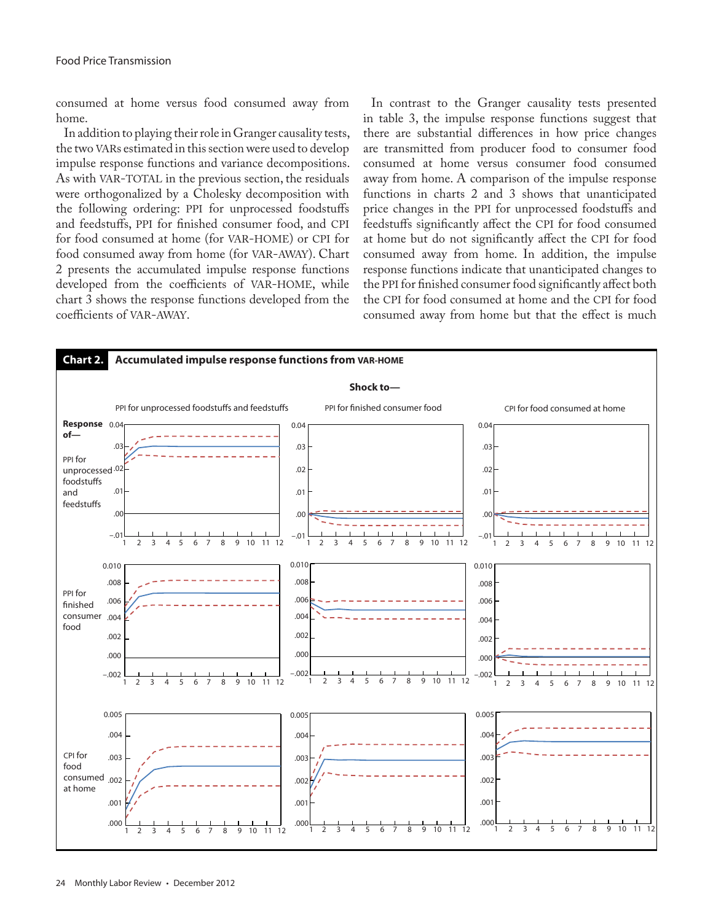consumed at home versus food consumed away from home.

In addition to playing their role in Granger causality tests, the two VARs estimated in this section were used to develop impulse response functions and variance decompositions. As with VAR-TOTAL in the previous section, the residuals were orthogonalized by a Cholesky decomposition with the following ordering: PPI for unprocessed foodstuffs and feedstuffs, PPI for finished consumer food, and CPI for food consumed at home (for VAR-HOME) or CPI for food consumed away from home (for VAR-AWAY). Chart 2 presents the accumulated impulse response functions developed from the coefficients of VAR-HOME, while chart 3 shows the response functions developed from the coefficients of VAR-AWAY.

In contrast to the Granger causality tests presented in table 3, the impulse response functions suggest that there are substantial differences in how price changes are transmitted from producer food to consumer food consumed at home versus consumer food consumed away from home. A comparison of the impulse response functions in charts 2 and 3 shows that unanticipated price changes in the PPI for unprocessed foodstuffs and feedstuffs significantly affect the CPI for food consumed at home but do not significantly affect the CPI for food consumed away from home. In addition, the impulse response functions indicate that unanticipated changes to the PPI for finished consumer food significantly affect both the CPI for food consumed at home and the CPI for food consumed away from home but that the effect is much

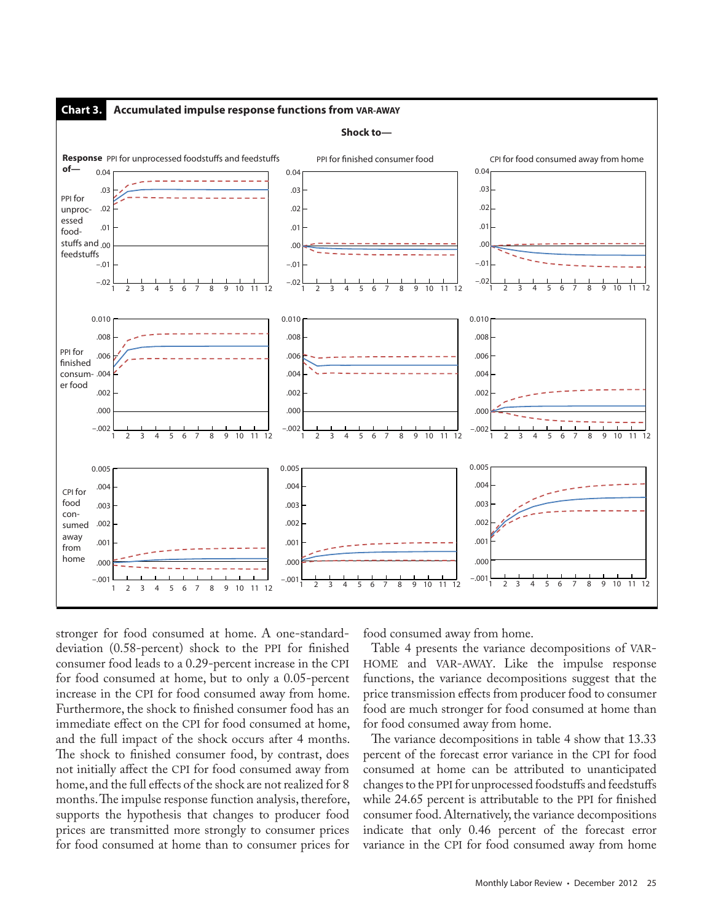

stronger for food consumed at home. A one-standarddeviation (0.58-percent) shock to the PPI for finished consumer food leads to a 0.29-percent increase in the CPI for food consumed at home, but to only a 0.05-percent increase in the CPI for food consumed away from home. Furthermore, the shock to finished consumer food has an immediate effect on the CPI for food consumed at home, and the full impact of the shock occurs after 4 months. The shock to finished consumer food, by contrast, does not initially affect the CPI for food consumed away from home, and the full effects of the shock are not realized for 8 months. The impulse response function analysis, therefore, supports the hypothesis that changes to producer food prices are transmitted more strongly to consumer prices for food consumed at home than to consumer prices for

food consumed away from home.

Table 4 presents the variance decompositions of VAR-HOME and VAR-AWAY. Like the impulse response functions, the variance decompositions suggest that the price transmission effects from producer food to consumer food are much stronger for food consumed at home than for food consumed away from home.

The variance decompositions in table 4 show that 13.33 percent of the forecast error variance in the CPI for food consumed at home can be attributed to unanticipated changes to the PPI for unprocessed foodstuffs and feedstuffs while 24.65 percent is attributable to the PPI for finished consumer food. Alternatively, the variance decompositions indicate that only 0.46 percent of the forecast error variance in the CPI for food consumed away from home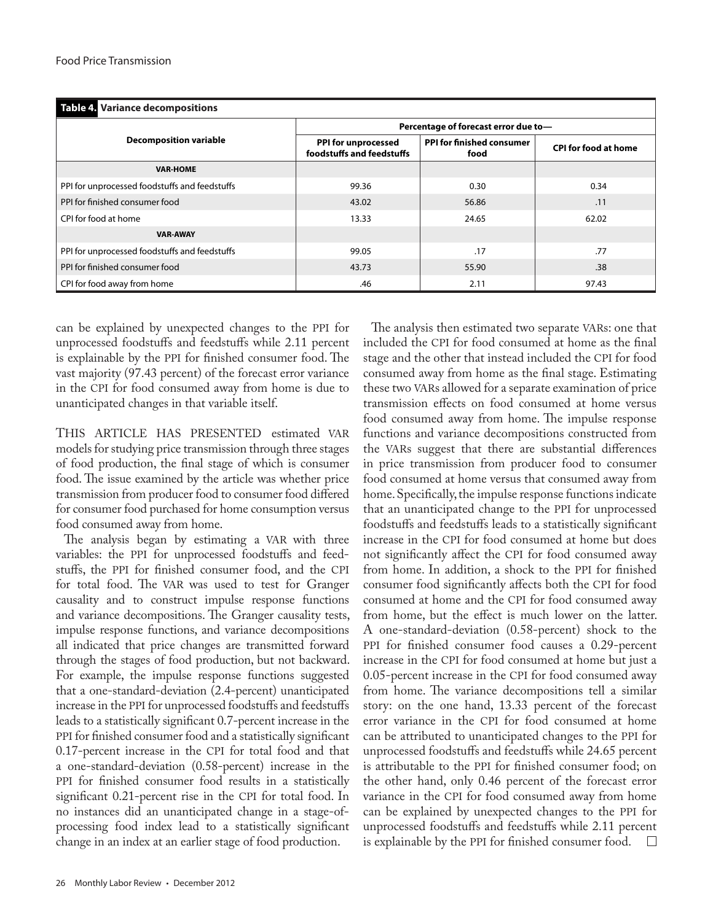| Table 4. Variance decompositions              |                                                  |                                   |                             |  |  |
|-----------------------------------------------|--------------------------------------------------|-----------------------------------|-----------------------------|--|--|
| <b>Decomposition variable</b>                 | Percentage of forecast error due to-             |                                   |                             |  |  |
|                                               | PPI for unprocessed<br>foodstuffs and feedstuffs | PPI for finished consumer<br>food | <b>CPI for food at home</b> |  |  |
| <b>VAR-HOME</b>                               |                                                  |                                   |                             |  |  |
| PPI for unprocessed foodstuffs and feedstuffs | 99.36                                            | 0.30                              | 0.34                        |  |  |
| PPI for finished consumer food                | 43.02                                            | 56.86                             | .11                         |  |  |
| CPI for food at home                          | 13.33                                            | 24.65                             | 62.02                       |  |  |
| <b>VAR-AWAY</b>                               |                                                  |                                   |                             |  |  |
| PPI for unprocessed foodstuffs and feedstuffs | 99.05                                            | .17                               | .77                         |  |  |
| PPI for finished consumer food                | 43.73                                            | 55.90                             | .38                         |  |  |
| CPI for food away from home                   | .46                                              | 2.11                              | 97.43                       |  |  |

can be explained by unexpected changes to the PPI for unprocessed foodstuffs and feedstuffs while 2.11 percent is explainable by the PPI for finished consumer food. The vast majority (97.43 percent) of the forecast error variance in the CPI for food consumed away from home is due to unanticipated changes in that variable itself.

THIS ARTICLE HAS PRESENTED estimated VAR models for studying price transmission through three stages of food production, the final stage of which is consumer food. The issue examined by the article was whether price transmission from producer food to consumer food differed for consumer food purchased for home consumption versus food consumed away from home.

The analysis began by estimating a VAR with three variables: the PPI for unprocessed foodstuffs and feedstuffs, the PPI for finished consumer food, and the CPI for total food. The VAR was used to test for Granger causality and to construct impulse response functions and variance decompositions. The Granger causality tests, impulse response functions, and variance decompositions all indicated that price changes are transmitted forward through the stages of food production, but not backward. For example, the impulse response functions suggested that a one-standard-deviation (2.4-percent) unanticipated increase in the PPI for unprocessed foodstuffs and feedstuffs leads to a statistically significant 0.7-percent increase in the PPI for finished consumer food and a statistically significant 0.17-percent increase in the CPI for total food and that a one-standard-deviation (0.58-percent) increase in the PPI for finished consumer food results in a statistically significant 0.21-percent rise in the CPI for total food. In no instances did an unanticipated change in a stage-ofprocessing food index lead to a statistically significant change in an index at an earlier stage of food production.

included the CPI for food consumed at home as the final stage and the other that instead included the CPI for food consumed away from home as the final stage. Estimating these two VARs allowed for a separate examination of price transmission effects on food consumed at home versus food consumed away from home. The impulse response functions and variance decompositions constructed from the VARs suggest that there are substantial differences in price transmission from producer food to consumer food consumed at home versus that consumed away from home. Specifically, the impulse response functions indicate that an unanticipated change to the PPI for unprocessed foodstuffs and feedstuffs leads to a statistically significant increase in the CPI for food consumed at home but does not significantly affect the CPI for food consumed away from home. In addition, a shock to the PPI for finished consumer food significantly affects both the CPI for food consumed at home and the CPI for food consumed away from home, but the effect is much lower on the latter. A one-standard-deviation (0.58-percent) shock to the PPI for finished consumer food causes a 0.29-percent increase in the CPI for food consumed at home but just a 0.05-percent increase in the CPI for food consumed away from home. The variance decompositions tell a similar story: on the one hand, 13.33 percent of the forecast error variance in the CPI for food consumed at home can be attributed to unanticipated changes to the PPI for unprocessed foodstuffs and feedstuffs while 24.65 percent is attributable to the PPI for finished consumer food; on the other hand, only 0.46 percent of the forecast error variance in the CPI for food consumed away from home can be explained by unexpected changes to the PPI for unprocessed foodstuffs and feedstuffs while 2.11 percent is explainable by the PPI for finished consumer food. $\Box$ 

The analysis then estimated two separate VARs: one that